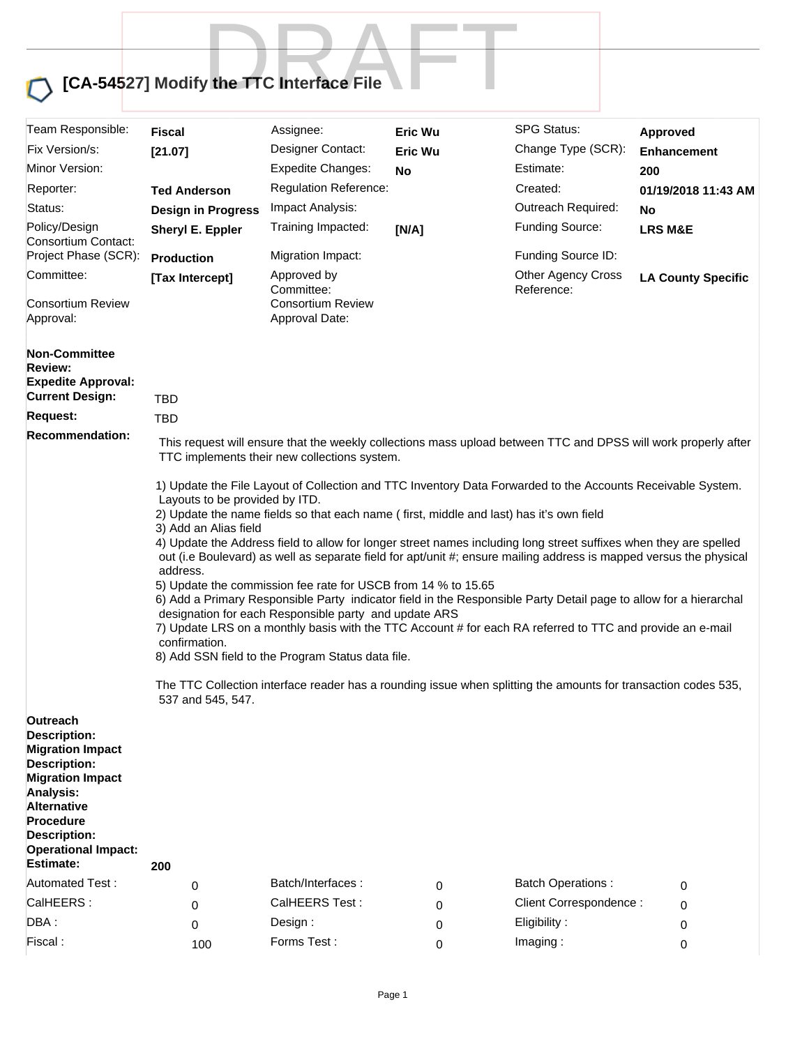## **[CA-54527] Modify the TTC Interface File** y the TTC Interface File

| Team Responsible:                                                                                                                                                                                                                       | Fiscal                                                                                                                                                                                                                                                                                                                                                                                                                                                                                                                                                                                                                                                                                                                                                                                                                                                                                                                                                                                                                                                                                            | Assignee:                                                               | Eric Wu        | <b>SPG Status:</b>                      | Approved                  |  |
|-----------------------------------------------------------------------------------------------------------------------------------------------------------------------------------------------------------------------------------------|---------------------------------------------------------------------------------------------------------------------------------------------------------------------------------------------------------------------------------------------------------------------------------------------------------------------------------------------------------------------------------------------------------------------------------------------------------------------------------------------------------------------------------------------------------------------------------------------------------------------------------------------------------------------------------------------------------------------------------------------------------------------------------------------------------------------------------------------------------------------------------------------------------------------------------------------------------------------------------------------------------------------------------------------------------------------------------------------------|-------------------------------------------------------------------------|----------------|-----------------------------------------|---------------------------|--|
| Fix Version/s:                                                                                                                                                                                                                          | [21.07]                                                                                                                                                                                                                                                                                                                                                                                                                                                                                                                                                                                                                                                                                                                                                                                                                                                                                                                                                                                                                                                                                           | Designer Contact:                                                       | <b>Eric Wu</b> | Change Type (SCR):                      | <b>Enhancement</b>        |  |
| Minor Version:                                                                                                                                                                                                                          |                                                                                                                                                                                                                                                                                                                                                                                                                                                                                                                                                                                                                                                                                                                                                                                                                                                                                                                                                                                                                                                                                                   | <b>Expedite Changes:</b>                                                | <b>No</b>      | Estimate:                               | 200                       |  |
| Reporter:                                                                                                                                                                                                                               | <b>Ted Anderson</b>                                                                                                                                                                                                                                                                                                                                                                                                                                                                                                                                                                                                                                                                                                                                                                                                                                                                                                                                                                                                                                                                               | <b>Regulation Reference:</b>                                            |                | Created:                                | 01/19/2018 11:43 AM       |  |
| Status:                                                                                                                                                                                                                                 | <b>Design in Progress</b>                                                                                                                                                                                                                                                                                                                                                                                                                                                                                                                                                                                                                                                                                                                                                                                                                                                                                                                                                                                                                                                                         | Impact Analysis:                                                        |                | Outreach Required:                      | No                        |  |
| Policy/Design<br>Consortium Contact:                                                                                                                                                                                                    | Sheryl E. Eppler                                                                                                                                                                                                                                                                                                                                                                                                                                                                                                                                                                                                                                                                                                                                                                                                                                                                                                                                                                                                                                                                                  | Training Impacted:                                                      | [N/A]          | Funding Source:                         | <b>LRS M&amp;E</b>        |  |
| Project Phase (SCR):                                                                                                                                                                                                                    | <b>Production</b>                                                                                                                                                                                                                                                                                                                                                                                                                                                                                                                                                                                                                                                                                                                                                                                                                                                                                                                                                                                                                                                                                 | Migration Impact:                                                       |                | Funding Source ID:                      |                           |  |
| Committee:<br><b>Consortium Review</b><br>Approval:                                                                                                                                                                                     | [Tax Intercept]                                                                                                                                                                                                                                                                                                                                                                                                                                                                                                                                                                                                                                                                                                                                                                                                                                                                                                                                                                                                                                                                                   | Approved by<br>Committee:<br><b>Consortium Review</b><br>Approval Date: |                | <b>Other Agency Cross</b><br>Reference: | <b>LA County Specific</b> |  |
| <b>Non-Committee</b><br><b>Review:</b><br><b>Expedite Approval:</b><br><b>Current Design:</b>                                                                                                                                           | <b>TBD</b>                                                                                                                                                                                                                                                                                                                                                                                                                                                                                                                                                                                                                                                                                                                                                                                                                                                                                                                                                                                                                                                                                        |                                                                         |                |                                         |                           |  |
| <b>Request:</b>                                                                                                                                                                                                                         | <b>TBD</b>                                                                                                                                                                                                                                                                                                                                                                                                                                                                                                                                                                                                                                                                                                                                                                                                                                                                                                                                                                                                                                                                                        |                                                                         |                |                                         |                           |  |
| <b>Recommendation:</b>                                                                                                                                                                                                                  | This request will ensure that the weekly collections mass upload between TTC and DPSS will work properly after                                                                                                                                                                                                                                                                                                                                                                                                                                                                                                                                                                                                                                                                                                                                                                                                                                                                                                                                                                                    |                                                                         |                |                                         |                           |  |
| <b>Outreach</b>                                                                                                                                                                                                                         | 1) Update the File Layout of Collection and TTC Inventory Data Forwarded to the Accounts Receivable System.<br>Layouts to be provided by ITD.<br>2) Update the name fields so that each name (first, middle and last) has it's own field<br>3) Add an Alias field<br>4) Update the Address field to allow for longer street names including long street suffixes when they are spelled<br>out (i.e Boulevard) as well as separate field for apt/unit #; ensure mailing address is mapped versus the physical<br>address.<br>5) Update the commission fee rate for USCB from 14 % to 15.65<br>6) Add a Primary Responsible Party indicator field in the Responsible Party Detail page to allow for a hierarchal<br>designation for each Responsible party and update ARS<br>7) Update LRS on a monthly basis with the TTC Account # for each RA referred to TTC and provide an e-mail<br>confirmation.<br>8) Add SSN field to the Program Status data file.<br>The TTC Collection interface reader has a rounding issue when splitting the amounts for transaction codes 535,<br>537 and 545, 547. |                                                                         |                |                                         |                           |  |
| <b>Description:</b><br><b>Migration Impact</b><br><b>Description:</b><br><b>Migration Impact</b><br><b>Analysis:</b><br><b>Alternative</b><br><b>Procedure</b><br><b>Description:</b><br><b>Operational Impact:</b><br><b>Estimate:</b> | 200                                                                                                                                                                                                                                                                                                                                                                                                                                                                                                                                                                                                                                                                                                                                                                                                                                                                                                                                                                                                                                                                                               |                                                                         |                |                                         |                           |  |
| <b>Automated Test:</b>                                                                                                                                                                                                                  | 0                                                                                                                                                                                                                                                                                                                                                                                                                                                                                                                                                                                                                                                                                                                                                                                                                                                                                                                                                                                                                                                                                                 | Batch/Interfaces:                                                       | 0              | <b>Batch Operations:</b>                | 0                         |  |
| CalHEERS:                                                                                                                                                                                                                               | 0                                                                                                                                                                                                                                                                                                                                                                                                                                                                                                                                                                                                                                                                                                                                                                                                                                                                                                                                                                                                                                                                                                 | CalHEERS Test:                                                          | 0              | Client Correspondence:                  | 0                         |  |
| DBA:                                                                                                                                                                                                                                    | $\Omega$                                                                                                                                                                                                                                                                                                                                                                                                                                                                                                                                                                                                                                                                                                                                                                                                                                                                                                                                                                                                                                                                                          | Design :                                                                | 0              | Eligibility:                            | 0                         |  |
| Fiscal:                                                                                                                                                                                                                                 | 100                                                                                                                                                                                                                                                                                                                                                                                                                                                                                                                                                                                                                                                                                                                                                                                                                                                                                                                                                                                                                                                                                               | Forms Test:                                                             | 0              | Imaging:                                | 0                         |  |
|                                                                                                                                                                                                                                         |                                                                                                                                                                                                                                                                                                                                                                                                                                                                                                                                                                                                                                                                                                                                                                                                                                                                                                                                                                                                                                                                                                   |                                                                         |                |                                         |                           |  |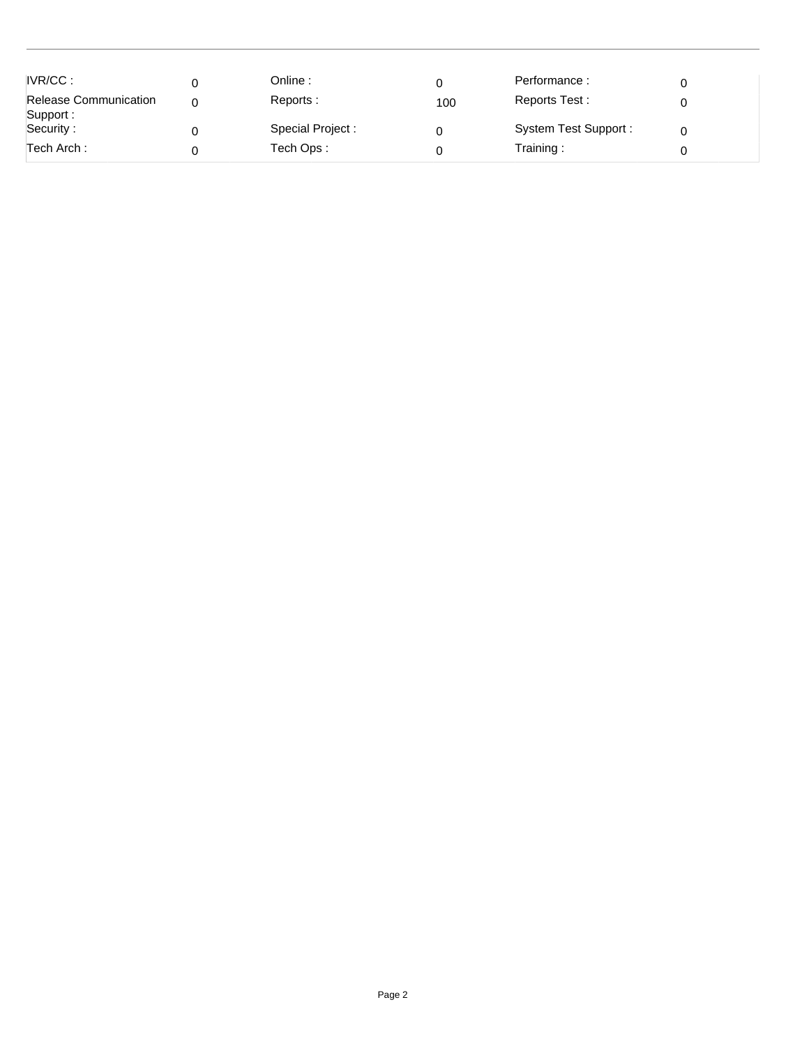| IVR/CC:<br><b>Release Communication</b><br>Support : | Online :<br>Reports:            | 100 | Performance:<br>Reports Test:     |  |
|------------------------------------------------------|---------------------------------|-----|-----------------------------------|--|
| Security:<br>Tech Arch :                             | Special Project :<br>Tech Ops : |     | System Test Support:<br>Training: |  |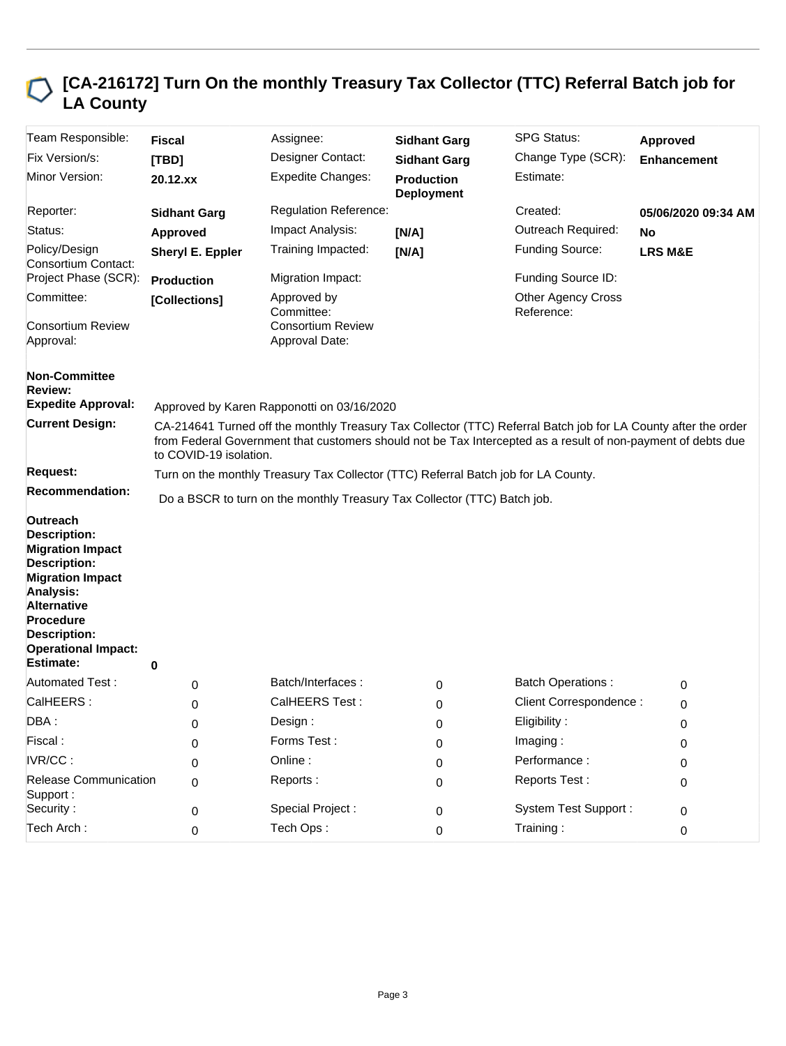## **[CA-216172] Turn On the monthly Treasury Tax Collector (TTC) Referral Batch job for LA County**

| Team Responsible:                                                                                                                                                                                                        | <b>Fiscal</b>                                                                                                                                                                                                                                            | Assignee:                                  | <b>Sidhant Garg</b>                    | <b>SPG Status:</b>                      | Approved            |  |
|--------------------------------------------------------------------------------------------------------------------------------------------------------------------------------------------------------------------------|----------------------------------------------------------------------------------------------------------------------------------------------------------------------------------------------------------------------------------------------------------|--------------------------------------------|----------------------------------------|-----------------------------------------|---------------------|--|
| Fix Version/s:                                                                                                                                                                                                           | [TBD]                                                                                                                                                                                                                                                    | Designer Contact:                          | <b>Sidhant Garg</b>                    | Change Type (SCR):                      | <b>Enhancement</b>  |  |
| Minor Version:                                                                                                                                                                                                           | $20.12$ . $xx$                                                                                                                                                                                                                                           | <b>Expedite Changes:</b>                   | <b>Production</b><br><b>Deployment</b> | Estimate:                               |                     |  |
| Reporter:                                                                                                                                                                                                                | <b>Sidhant Garg</b>                                                                                                                                                                                                                                      | <b>Regulation Reference:</b>               |                                        | Created:                                | 05/06/2020 09:34 AM |  |
| Status:                                                                                                                                                                                                                  | Approved                                                                                                                                                                                                                                                 | Impact Analysis:                           | [N/A]                                  | Outreach Required:                      | <b>No</b>           |  |
| Policy/Design<br>Consortium Contact:                                                                                                                                                                                     | Sheryl E. Eppler                                                                                                                                                                                                                                         | Training Impacted:                         | [N/A]                                  | Funding Source:                         | <b>LRS M&amp;E</b>  |  |
| Project Phase (SCR):                                                                                                                                                                                                     | <b>Production</b>                                                                                                                                                                                                                                        | Migration Impact:                          |                                        | Funding Source ID:                      |                     |  |
| Committee:                                                                                                                                                                                                               | [Collections]                                                                                                                                                                                                                                            | Approved by<br>Committee:                  |                                        | <b>Other Agency Cross</b><br>Reference: |                     |  |
| <b>Consortium Review</b><br>Approval:                                                                                                                                                                                    |                                                                                                                                                                                                                                                          | <b>Consortium Review</b><br>Approval Date: |                                        |                                         |                     |  |
| <b>Non-Committee</b><br>Review:                                                                                                                                                                                          |                                                                                                                                                                                                                                                          |                                            |                                        |                                         |                     |  |
| <b>Expedite Approval:</b>                                                                                                                                                                                                | Approved by Karen Rapponotti on 03/16/2020                                                                                                                                                                                                               |                                            |                                        |                                         |                     |  |
| <b>Current Design:</b>                                                                                                                                                                                                   | CA-214641 Turned off the monthly Treasury Tax Collector (TTC) Referral Batch job for LA County after the order<br>from Federal Government that customers should not be Tax Intercepted as a result of non-payment of debts due<br>to COVID-19 isolation. |                                            |                                        |                                         |                     |  |
| <b>Request:</b>                                                                                                                                                                                                          | Turn on the monthly Treasury Tax Collector (TTC) Referral Batch job for LA County.                                                                                                                                                                       |                                            |                                        |                                         |                     |  |
| <b>Recommendation:</b>                                                                                                                                                                                                   | Do a BSCR to turn on the monthly Treasury Tax Collector (TTC) Batch job.                                                                                                                                                                                 |                                            |                                        |                                         |                     |  |
| Outreach<br><b>Description:</b><br><b>Migration Impact</b><br><b>Description:</b><br><b>Migration Impact</b><br>Analysis:<br><b>Alternative</b><br><b>Procedure</b><br><b>Description:</b><br><b>Operational Impact:</b> |                                                                                                                                                                                                                                                          |                                            |                                        |                                         |                     |  |
| <b>Estimate:</b>                                                                                                                                                                                                         | 0                                                                                                                                                                                                                                                        |                                            |                                        |                                         |                     |  |
| Automated Test:                                                                                                                                                                                                          | 0                                                                                                                                                                                                                                                        | Batch/Interfaces:                          | 0                                      | <b>Batch Operations:</b>                | 0                   |  |
| CalHEERS:                                                                                                                                                                                                                | 0                                                                                                                                                                                                                                                        | CalHEERS Test:                             | 0                                      | Client Correspondence :                 | 0                   |  |
| DBA:                                                                                                                                                                                                                     | 0                                                                                                                                                                                                                                                        | Design :                                   | 0                                      | Eligibility:                            | 0                   |  |
| Fiscal:                                                                                                                                                                                                                  | 0                                                                                                                                                                                                                                                        | Forms Test:                                | 0                                      | Imaging:                                | 0                   |  |
| IVR/CC:                                                                                                                                                                                                                  | 0                                                                                                                                                                                                                                                        | Online:                                    | 0                                      | Performance:                            | 0                   |  |
| <b>Release Communication</b><br>Support:                                                                                                                                                                                 | 0                                                                                                                                                                                                                                                        | Reports:                                   | 0                                      | Reports Test:                           | 0                   |  |
| Security:                                                                                                                                                                                                                | 0                                                                                                                                                                                                                                                        | Special Project :                          | 0                                      | <b>System Test Support:</b>             | 0                   |  |
| Tech Arch:                                                                                                                                                                                                               | 0                                                                                                                                                                                                                                                        | Tech Ops:                                  | 0                                      | Training:                               | 0                   |  |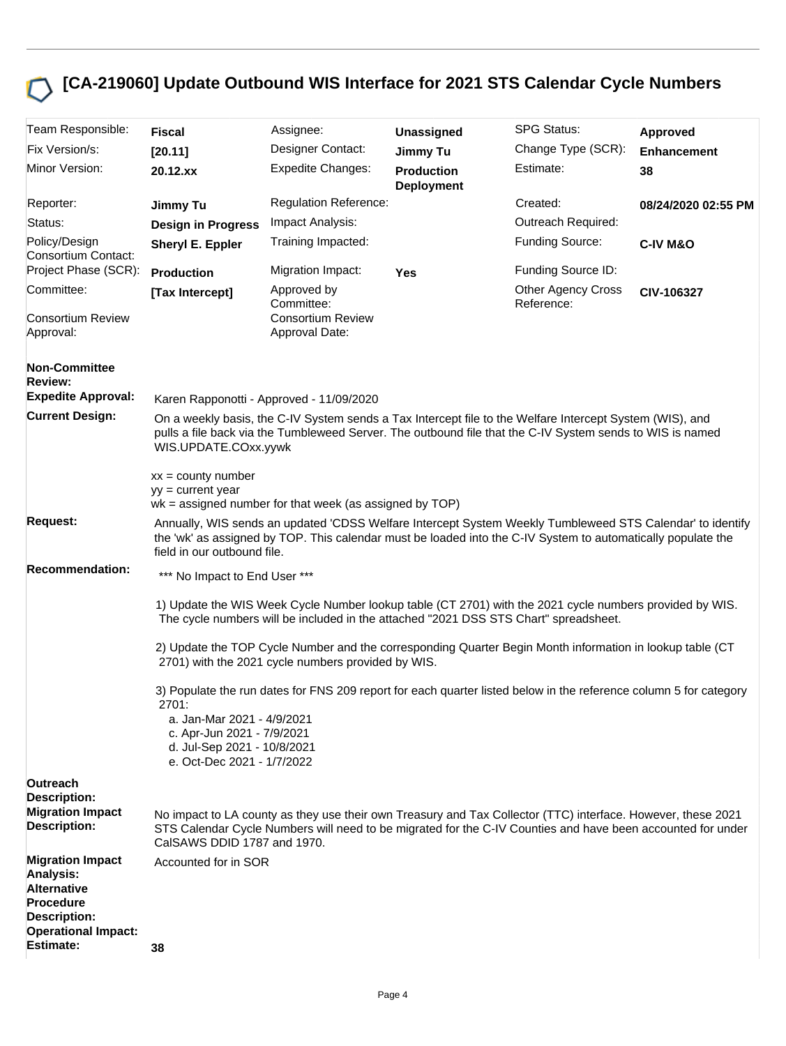## **[CA-219060] Update Outbound WIS Interface for 2021 STS Calendar Cycle Numbers**

| Team Responsible:                                                                                     | <b>Fiscal</b>                                                                                                                                                                                                                                                                                                                                                | Assignee:                                  | <b>Unassigned</b>                      | <b>SPG Status:</b>                      | Approved            |  |  |
|-------------------------------------------------------------------------------------------------------|--------------------------------------------------------------------------------------------------------------------------------------------------------------------------------------------------------------------------------------------------------------------------------------------------------------------------------------------------------------|--------------------------------------------|----------------------------------------|-----------------------------------------|---------------------|--|--|
| Fix Version/s:                                                                                        | [20.11]                                                                                                                                                                                                                                                                                                                                                      | Designer Contact:                          | <b>Jimmy Tu</b>                        | Change Type (SCR):                      | <b>Enhancement</b>  |  |  |
| Minor Version:                                                                                        | 20.12.xx                                                                                                                                                                                                                                                                                                                                                     | <b>Expedite Changes:</b>                   | <b>Production</b><br><b>Deployment</b> | Estimate:                               | 38                  |  |  |
| Reporter:                                                                                             | Jimmy Tu                                                                                                                                                                                                                                                                                                                                                     | <b>Regulation Reference:</b>               |                                        | Created:                                | 08/24/2020 02:55 PM |  |  |
| Status:                                                                                               | <b>Design in Progress</b>                                                                                                                                                                                                                                                                                                                                    | Impact Analysis:                           |                                        | Outreach Required:                      |                     |  |  |
| Policy/Design<br>Consortium Contact:                                                                  | Sheryl E. Eppler                                                                                                                                                                                                                                                                                                                                             | Training Impacted:                         |                                        | Funding Source:                         | <b>C-IV M&amp;O</b> |  |  |
| Project Phase (SCR):                                                                                  | <b>Production</b>                                                                                                                                                                                                                                                                                                                                            | Migration Impact:                          | <b>Yes</b>                             | Funding Source ID:                      |                     |  |  |
| Committee:                                                                                            | [Tax Intercept]                                                                                                                                                                                                                                                                                                                                              | Approved by<br>Committee:                  |                                        | <b>Other Agency Cross</b><br>Reference: | CIV-106327          |  |  |
| <b>Consortium Review</b><br>Approval:                                                                 |                                                                                                                                                                                                                                                                                                                                                              | <b>Consortium Review</b><br>Approval Date: |                                        |                                         |                     |  |  |
| <b>Non-Committee</b><br>Review:<br><b>Expedite Approval:</b><br><b>Current Design:</b>                |                                                                                                                                                                                                                                                                                                                                                              | Karen Rapponotti - Approved - 11/09/2020   |                                        |                                         |                     |  |  |
|                                                                                                       | On a weekly basis, the C-IV System sends a Tax Intercept file to the Welfare Intercept System (WIS), and<br>pulls a file back via the Tumbleweed Server. The outbound file that the C-IV System sends to WIS is named<br>WIS.UPDATE.COxx.yywk<br>$xx =$ county number<br>$vy = current year$<br>$wk =$ assigned number for that week (as assigned by $TOP$ ) |                                            |                                        |                                         |                     |  |  |
|                                                                                                       |                                                                                                                                                                                                                                                                                                                                                              |                                            |                                        |                                         |                     |  |  |
| <b>Request:</b>                                                                                       | Annually, WIS sends an updated 'CDSS Welfare Intercept System Weekly Tumbleweed STS Calendar' to identify<br>the 'wk' as assigned by TOP. This calendar must be loaded into the C-IV System to automatically populate the<br>field in our outbound file.                                                                                                     |                                            |                                        |                                         |                     |  |  |
| <b>Recommendation:</b>                                                                                | *** No Impact to End User ***                                                                                                                                                                                                                                                                                                                                |                                            |                                        |                                         |                     |  |  |
|                                                                                                       | 1) Update the WIS Week Cycle Number lookup table (CT 2701) with the 2021 cycle numbers provided by WIS.<br>The cycle numbers will be included in the attached "2021 DSS STS Chart" spreadsheet.                                                                                                                                                              |                                            |                                        |                                         |                     |  |  |
|                                                                                                       | 2) Update the TOP Cycle Number and the corresponding Quarter Begin Month information in lookup table (CT<br>2701) with the 2021 cycle numbers provided by WIS.                                                                                                                                                                                               |                                            |                                        |                                         |                     |  |  |
|                                                                                                       | 3) Populate the run dates for FNS 209 report for each quarter listed below in the reference column 5 for category<br>2701:<br>a. Jan-Mar 2021 - 4/9/2021<br>c. Apr-Jun 2021 - 7/9/2021<br>d. Jul-Sep 2021 - 10/8/2021<br>e. Oct-Dec 2021 - 1/7/2022                                                                                                          |                                            |                                        |                                         |                     |  |  |
| Outreach                                                                                              |                                                                                                                                                                                                                                                                                                                                                              |                                            |                                        |                                         |                     |  |  |
| <b>Description:</b><br><b>Migration Impact</b><br><b>Description:</b>                                 | No impact to LA county as they use their own Treasury and Tax Collector (TTC) interface. However, these 2021<br>STS Calendar Cycle Numbers will need to be migrated for the C-IV Counties and have been accounted for under<br>CalSAWS DDID 1787 and 1970.                                                                                                   |                                            |                                        |                                         |                     |  |  |
| <b>Migration Impact</b><br>Analysis:<br><b>Alternative</b><br><b>Procedure</b><br><b>Description:</b> | Accounted for in SOR                                                                                                                                                                                                                                                                                                                                         |                                            |                                        |                                         |                     |  |  |
| <b>Operational Impact:</b><br><b>Estimate:</b>                                                        | 38                                                                                                                                                                                                                                                                                                                                                           |                                            |                                        |                                         |                     |  |  |